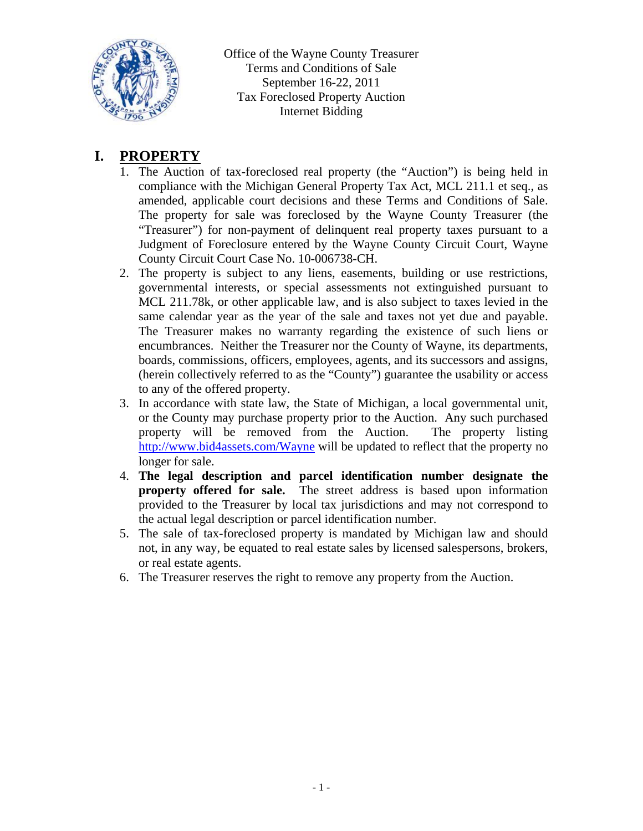

## **I. PROPERTY**

- 1. The Auction of tax-foreclosed real property (the "Auction") is being held in compliance with the Michigan General Property Tax Act, MCL 211.1 et seq., as amended, applicable court decisions and these Terms and Conditions of Sale. The property for sale was foreclosed by the Wayne County Treasurer (the "Treasurer") for non-payment of delinquent real property taxes pursuant to a Judgment of Foreclosure entered by the Wayne County Circuit Court, Wayne County Circuit Court Case No. 10-006738-CH.
- 2. The property is subject to any liens, easements, building or use restrictions, governmental interests, or special assessments not extinguished pursuant to MCL 211.78k, or other applicable law, and is also subject to taxes levied in the same calendar year as the year of the sale and taxes not yet due and payable. The Treasurer makes no warranty regarding the existence of such liens or encumbrances. Neither the Treasurer nor the County of Wayne, its departments, boards, commissions, officers, employees, agents, and its successors and assigns, (herein collectively referred to as the "County") guarantee the usability or access to any of the offered property.
- 3. In accordance with state law, the State of Michigan, a local governmental unit, or the County may purchase property prior to the Auction. Any such purchased property will be removed from the Auction. The property listing http://www.bid4assets.com/Wayne will be updated to reflect that the property no longer for sale.
- 4. **The legal description and parcel identification number designate the property offered for sale.** The street address is based upon information provided to the Treasurer by local tax jurisdictions and may not correspond to the actual legal description or parcel identification number.
- 5. The sale of tax-foreclosed property is mandated by Michigan law and should not, in any way, be equated to real estate sales by licensed salespersons, brokers, or real estate agents.
- 6. The Treasurer reserves the right to remove any property from the Auction.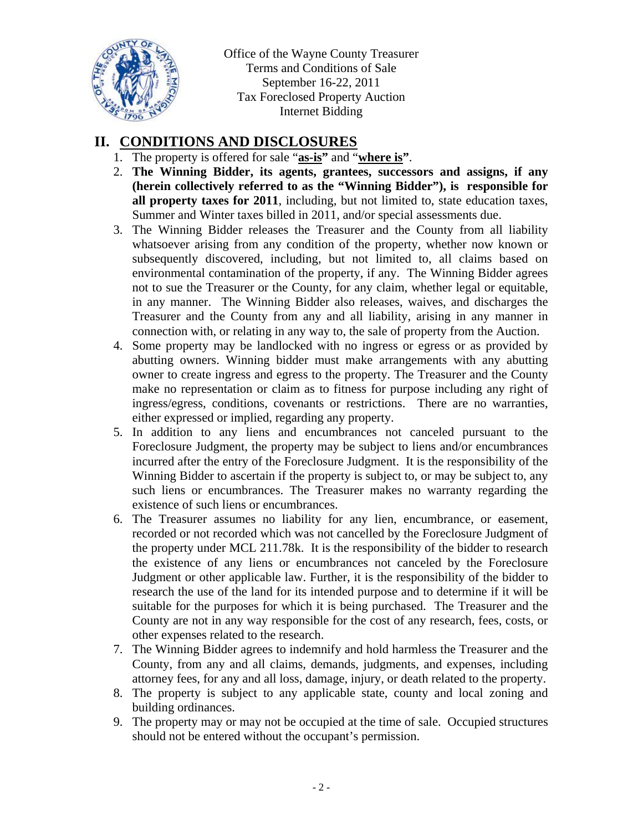

## **II. CONDITIONS AND DISCLOSURES**

- 1. The property is offered for sale "**as-is"** and "**where is"**.
- 2. **The Winning Bidder, its agents, grantees, successors and assigns, if any (herein collectively referred to as the "Winning Bidder"), is responsible for all property taxes for 2011**, including, but not limited to, state education taxes, Summer and Winter taxes billed in 2011, and/or special assessments due.
- 3. The Winning Bidder releases the Treasurer and the County from all liability whatsoever arising from any condition of the property, whether now known or subsequently discovered, including, but not limited to, all claims based on environmental contamination of the property, if any. The Winning Bidder agrees not to sue the Treasurer or the County, for any claim, whether legal or equitable, in any manner. The Winning Bidder also releases, waives, and discharges the Treasurer and the County from any and all liability, arising in any manner in connection with, or relating in any way to, the sale of property from the Auction.
- 4. Some property may be landlocked with no ingress or egress or as provided by abutting owners. Winning bidder must make arrangements with any abutting owner to create ingress and egress to the property. The Treasurer and the County make no representation or claim as to fitness for purpose including any right of ingress/egress, conditions, covenants or restrictions. There are no warranties, either expressed or implied, regarding any property.
- 5. In addition to any liens and encumbrances not canceled pursuant to the Foreclosure Judgment, the property may be subject to liens and/or encumbrances incurred after the entry of the Foreclosure Judgment. It is the responsibility of the Winning Bidder to ascertain if the property is subject to, or may be subject to, any such liens or encumbrances. The Treasurer makes no warranty regarding the existence of such liens or encumbrances.
- 6. The Treasurer assumes no liability for any lien, encumbrance, or easement, recorded or not recorded which was not cancelled by the Foreclosure Judgment of the property under MCL 211.78k. It is the responsibility of the bidder to research the existence of any liens or encumbrances not canceled by the Foreclosure Judgment or other applicable law. Further, it is the responsibility of the bidder to research the use of the land for its intended purpose and to determine if it will be suitable for the purposes for which it is being purchased. The Treasurer and the County are not in any way responsible for the cost of any research, fees, costs, or other expenses related to the research.
- 7. The Winning Bidder agrees to indemnify and hold harmless the Treasurer and the County, from any and all claims, demands, judgments, and expenses, including attorney fees, for any and all loss, damage, injury, or death related to the property.
- 8. The property is subject to any applicable state, county and local zoning and building ordinances.
- 9. The property may or may not be occupied at the time of sale. Occupied structures should not be entered without the occupant's permission.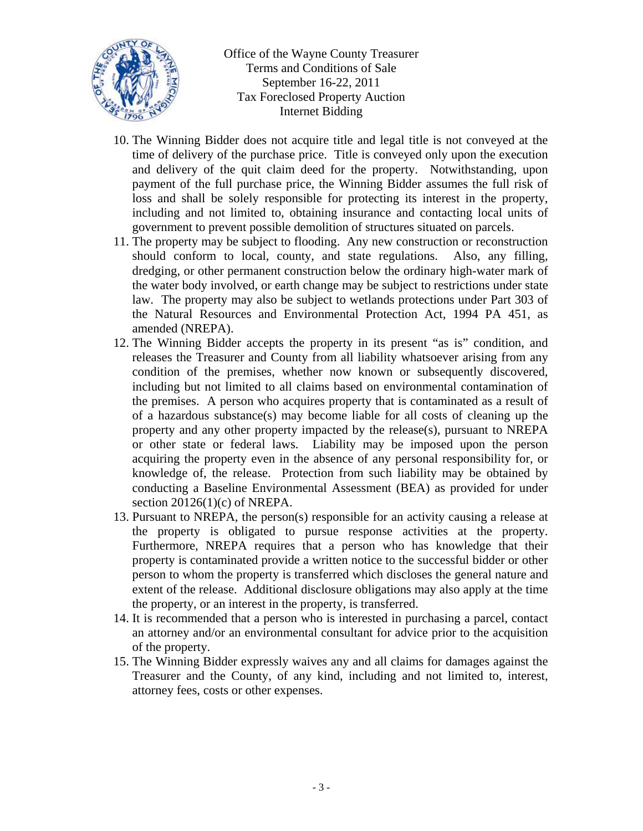

- 10. The Winning Bidder does not acquire title and legal title is not conveyed at the time of delivery of the purchase price. Title is conveyed only upon the execution and delivery of the quit claim deed for the property. Notwithstanding, upon payment of the full purchase price, the Winning Bidder assumes the full risk of loss and shall be solely responsible for protecting its interest in the property, including and not limited to, obtaining insurance and contacting local units of government to prevent possible demolition of structures situated on parcels.
- 11. The property may be subject to flooding. Any new construction or reconstruction should conform to local, county, and state regulations. Also, any filling, dredging, or other permanent construction below the ordinary high-water mark of the water body involved, or earth change may be subject to restrictions under state law. The property may also be subject to wetlands protections under Part 303 of the Natural Resources and Environmental Protection Act, 1994 PA 451, as amended (NREPA).
- 12. The Winning Bidder accepts the property in its present "as is" condition, and releases the Treasurer and County from all liability whatsoever arising from any condition of the premises, whether now known or subsequently discovered, including but not limited to all claims based on environmental contamination of the premises. A person who acquires property that is contaminated as a result of of a hazardous substance(s) may become liable for all costs of cleaning up the property and any other property impacted by the release(s), pursuant to NREPA or other state or federal laws. Liability may be imposed upon the person acquiring the property even in the absence of any personal responsibility for, or knowledge of, the release. Protection from such liability may be obtained by conducting a Baseline Environmental Assessment (BEA) as provided for under section 20126(1)(c) of NREPA.
- 13. Pursuant to NREPA, the person(s) responsible for an activity causing a release at the property is obligated to pursue response activities at the property. Furthermore, NREPA requires that a person who has knowledge that their property is contaminated provide a written notice to the successful bidder or other person to whom the property is transferred which discloses the general nature and extent of the release. Additional disclosure obligations may also apply at the time the property, or an interest in the property, is transferred.
- 14. It is recommended that a person who is interested in purchasing a parcel, contact an attorney and/or an environmental consultant for advice prior to the acquisition of the property.
- 15. The Winning Bidder expressly waives any and all claims for damages against the Treasurer and the County, of any kind, including and not limited to, interest, attorney fees, costs or other expenses.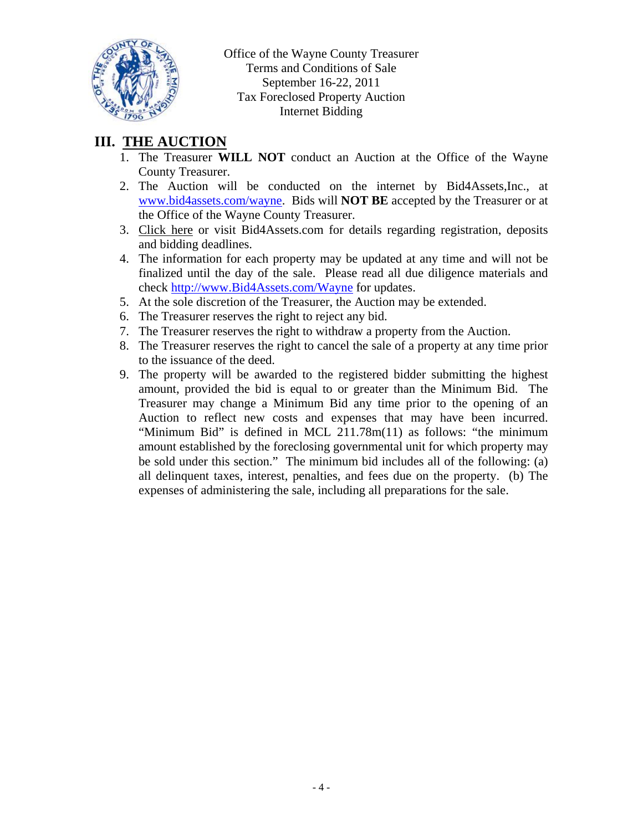

# **III. THE AUCTION**

- 1. The Treasurer **WILL NOT** conduct an Auction at the Office of the Wayne County Treasurer.
- 2. The Auction will be conducted on the internet by Bid4Assets,Inc., at www.bid4assets.com/wayne. Bids will **NOT BE** accepted by the Treasurer or at the Office of the Wayne County Treasurer.
- 3. Click here or visit Bid4Assets.com for details regarding registration, deposits and bidding deadlines.
- 4. The information for each property may be updated at any time and will not be finalized until the day of the sale. Please read all due diligence materials and check http://www.Bid4Assets.com/Wayne for updates.
- 5. At the sole discretion of the Treasurer, the Auction may be extended.
- 6. The Treasurer reserves the right to reject any bid.
- 7. The Treasurer reserves the right to withdraw a property from the Auction.
- 8. The Treasurer reserves the right to cancel the sale of a property at any time prior to the issuance of the deed.
- 9. The property will be awarded to the registered bidder submitting the highest amount, provided the bid is equal to or greater than the Minimum Bid. The Treasurer may change a Minimum Bid any time prior to the opening of an Auction to reflect new costs and expenses that may have been incurred. "Minimum Bid" is defined in MCL 211.78m(11) as follows: "the minimum amount established by the foreclosing governmental unit for which property may be sold under this section." The minimum bid includes all of the following: (a) all delinquent taxes, interest, penalties, and fees due on the property. (b) The expenses of administering the sale, including all preparations for the sale.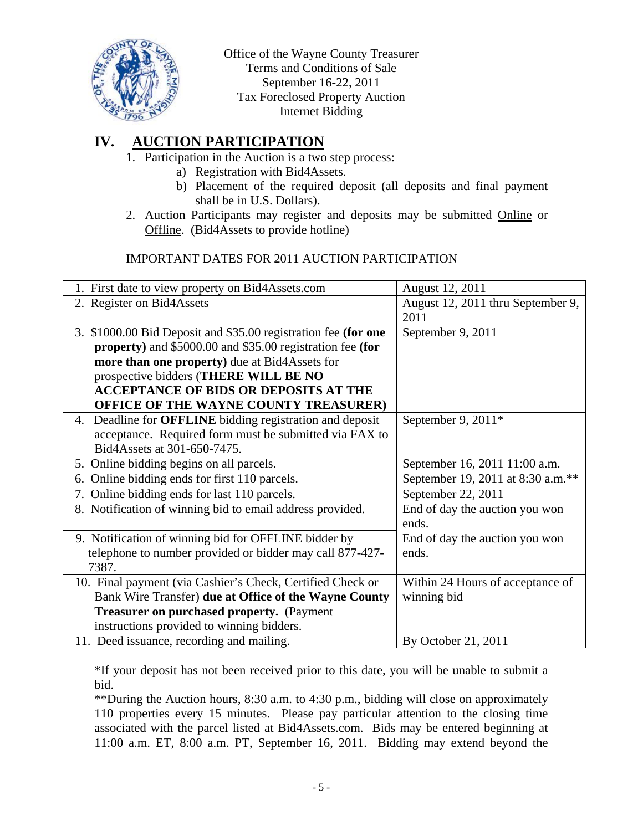

# **IV. AUCTION PARTICIPATION**

- 1. Participation in the Auction is a two step process:
	- a) Registration with Bid4Assets.
	- b) Placement of the required deposit (all deposits and final payment shall be in U.S. Dollars).
- 2. Auction Participants may register and deposits may be submitted Online or Offline. (Bid4Assets to provide hotline)

#### IMPORTANT DATES FOR 2011 AUCTION PARTICIPATION

| 1. First date to view property on Bid4Assets.com                  | August 12, 2011                   |
|-------------------------------------------------------------------|-----------------------------------|
| 2. Register on Bid4Assets                                         | August 12, 2011 thru September 9, |
|                                                                   | 2011                              |
| 3. \$1000.00 Bid Deposit and \$35.00 registration fee (for one    | September 9, 2011                 |
| <b>property</b> ) and \$5000.00 and \$35.00 registration fee (for |                                   |
| more than one property) due at Bid4Assets for                     |                                   |
| prospective bidders (THERE WILL BE NO                             |                                   |
| <b>ACCEPTANCE OF BIDS OR DEPOSITS AT THE</b>                      |                                   |
| <b>OFFICE OF THE WAYNE COUNTY TREASURER)</b>                      |                                   |
| 4. Deadline for <b>OFFLINE</b> bidding registration and deposit   | September 9, $2011*$              |
| acceptance. Required form must be submitted via FAX to            |                                   |
| Bid4Assets at 301-650-7475.                                       |                                   |
| 5. Online bidding begins on all parcels.                          | September 16, 2011 11:00 a.m.     |
| Online bidding ends for first 110 parcels.<br>6.                  | September 19, 2011 at 8:30 a.m.** |
| Online bidding ends for last 110 parcels.<br>7.                   | September 22, 2011                |
| 8. Notification of winning bid to email address provided.         | End of day the auction you won    |
|                                                                   | ends.                             |
| 9. Notification of winning bid for OFFLINE bidder by              | End of day the auction you won    |
| telephone to number provided or bidder may call 877-427-          | ends.                             |
| 7387.                                                             |                                   |
| 10. Final payment (via Cashier's Check, Certified Check or        | Within 24 Hours of acceptance of  |
| Bank Wire Transfer) due at Office of the Wayne County             | winning bid                       |
| <b>Treasurer on purchased property.</b> (Payment                  |                                   |
| instructions provided to winning bidders.                         |                                   |
| 11. Deed issuance, recording and mailing.                         | By October 21, 2011               |

\*If your deposit has not been received prior to this date, you will be unable to submit a bid.

\*\*During the Auction hours, 8:30 a.m. to 4:30 p.m., bidding will close on approximately 110 properties every 15 minutes. Please pay particular attention to the closing time associated with the parcel listed at Bid4Assets.com. Bids may be entered beginning at 11:00 a.m. ET, 8:00 a.m. PT, September 16, 2011. Bidding may extend beyond the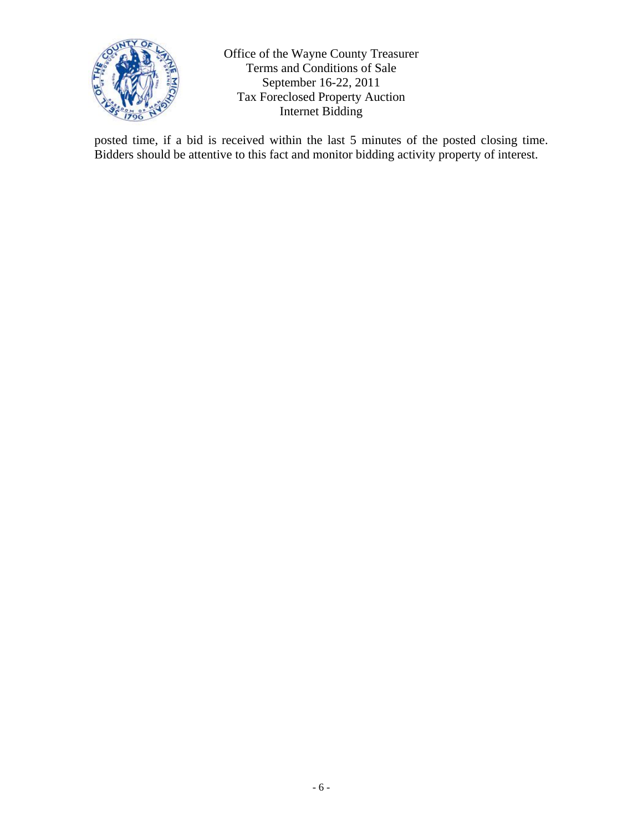

posted time, if a bid is received within the last 5 minutes of the posted closing time. Bidders should be attentive to this fact and monitor bidding activity property of interest.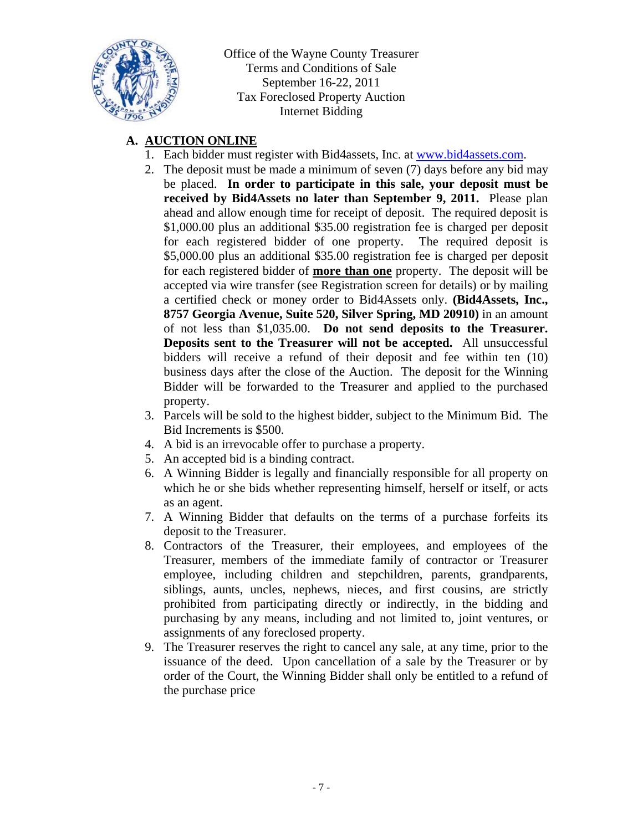

## **A. AUCTION ONLINE**

- 1. Each bidder must register with Bid4assets, Inc. at www.bid4assets.com.
- 2. The deposit must be made a minimum of seven (7) days before any bid may be placed. **In order to participate in this sale, your deposit must be received by Bid4Assets no later than September 9, 2011.** Please plan ahead and allow enough time for receipt of deposit. The required deposit is \$1,000.00 plus an additional \$35.00 registration fee is charged per deposit for each registered bidder of one property. The required deposit is \$5,000.00 plus an additional \$35.00 registration fee is charged per deposit for each registered bidder of **more than one** property. The deposit will be accepted via wire transfer (see Registration screen for details) or by mailing a certified check or money order to Bid4Assets only. **(Bid4Assets, Inc., 8757 Georgia Avenue, Suite 520, Silver Spring, MD 20910)** in an amount of not less than \$1,035.00. **Do not send deposits to the Treasurer. Deposits sent to the Treasurer will not be accepted.** All unsuccessful bidders will receive a refund of their deposit and fee within ten (10) business days after the close of the Auction. The deposit for the Winning Bidder will be forwarded to the Treasurer and applied to the purchased property.
- 3. Parcels will be sold to the highest bidder, subject to the Minimum Bid. The Bid Increments is \$500.
- 4. A bid is an irrevocable offer to purchase a property.
- 5. An accepted bid is a binding contract.
- 6. A Winning Bidder is legally and financially responsible for all property on which he or she bids whether representing himself, herself or itself, or acts as an agent.
- 7. A Winning Bidder that defaults on the terms of a purchase forfeits its deposit to the Treasurer.
- 8. Contractors of the Treasurer, their employees, and employees of the Treasurer, members of the immediate family of contractor or Treasurer employee, including children and stepchildren, parents, grandparents, siblings, aunts, uncles, nephews, nieces, and first cousins, are strictly prohibited from participating directly or indirectly, in the bidding and purchasing by any means, including and not limited to, joint ventures, or assignments of any foreclosed property.
- 9. The Treasurer reserves the right to cancel any sale, at any time, prior to the issuance of the deed. Upon cancellation of a sale by the Treasurer or by order of the Court, the Winning Bidder shall only be entitled to a refund of the purchase price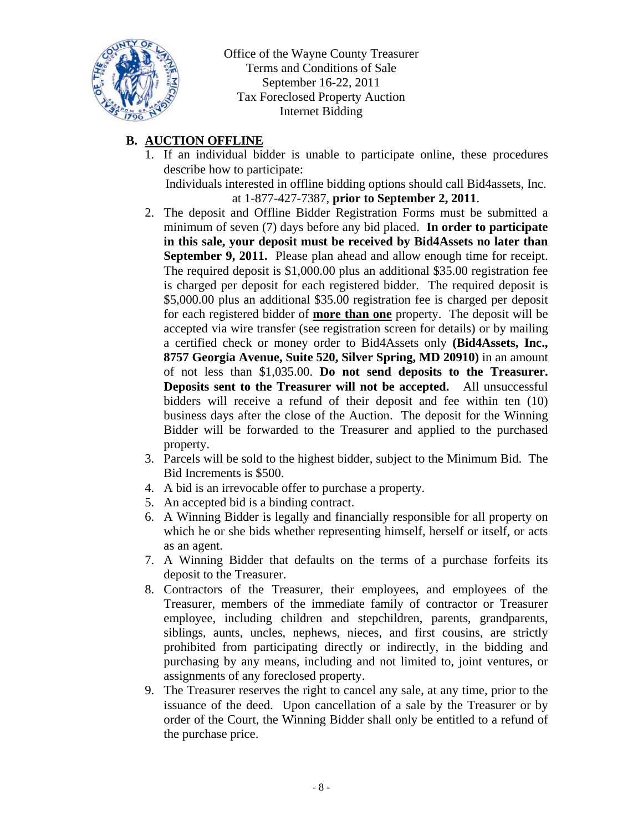

## **B. AUCTION OFFLINE**

1. If an individual bidder is unable to participate online, these procedures describe how to participate:

Individuals interested in offline bidding options should call Bid4assets, Inc. at 1-877-427-7387, **prior to September 2, 2011**.

- 2. The deposit and Offline Bidder Registration Forms must be submitted a minimum of seven (7) days before any bid placed. **In order to participate in this sale, your deposit must be received by Bid4Assets no later than September 9, 2011.** Please plan ahead and allow enough time for receipt. The required deposit is \$1,000.00 plus an additional \$35.00 registration fee is charged per deposit for each registered bidder. The required deposit is \$5,000.00 plus an additional \$35.00 registration fee is charged per deposit for each registered bidder of **more than one** property. The deposit will be accepted via wire transfer (see registration screen for details) or by mailing a certified check or money order to Bid4Assets only **(Bid4Assets, Inc., 8757 Georgia Avenue, Suite 520, Silver Spring, MD 20910)** in an amount of not less than \$1,035.00. **Do not send deposits to the Treasurer. Deposits sent to the Treasurer will not be accepted.** All unsuccessful bidders will receive a refund of their deposit and fee within ten (10) business days after the close of the Auction. The deposit for the Winning Bidder will be forwarded to the Treasurer and applied to the purchased property.
- 3. Parcels will be sold to the highest bidder, subject to the Minimum Bid. The Bid Increments is \$500.
- 4. A bid is an irrevocable offer to purchase a property.
- 5. An accepted bid is a binding contract.
- 6. A Winning Bidder is legally and financially responsible for all property on which he or she bids whether representing himself, herself or itself, or acts as an agent.
- 7. A Winning Bidder that defaults on the terms of a purchase forfeits its deposit to the Treasurer.
- 8. Contractors of the Treasurer, their employees, and employees of the Treasurer, members of the immediate family of contractor or Treasurer employee, including children and stepchildren, parents, grandparents, siblings, aunts, uncles, nephews, nieces, and first cousins, are strictly prohibited from participating directly or indirectly, in the bidding and purchasing by any means, including and not limited to, joint ventures, or assignments of any foreclosed property.
- 9. The Treasurer reserves the right to cancel any sale, at any time, prior to the issuance of the deed. Upon cancellation of a sale by the Treasurer or by order of the Court, the Winning Bidder shall only be entitled to a refund of the purchase price.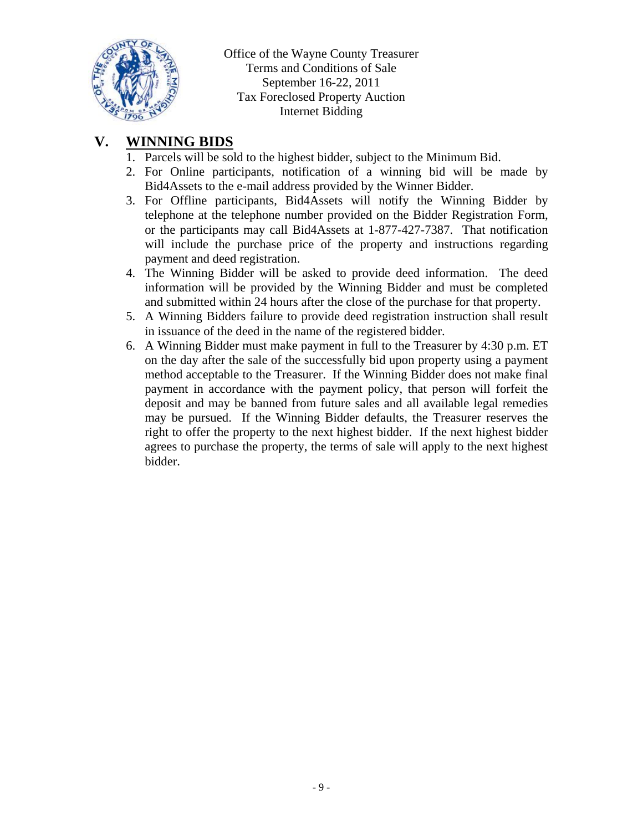

## **V. WINNING BIDS**

- 1. Parcels will be sold to the highest bidder, subject to the Minimum Bid.
- 2. For Online participants, notification of a winning bid will be made by Bid4Assets to the e-mail address provided by the Winner Bidder.
- 3. For Offline participants, Bid4Assets will notify the Winning Bidder by telephone at the telephone number provided on the Bidder Registration Form, or the participants may call Bid4Assets at 1-877-427-7387. That notification will include the purchase price of the property and instructions regarding payment and deed registration.
- 4. The Winning Bidder will be asked to provide deed information. The deed information will be provided by the Winning Bidder and must be completed and submitted within 24 hours after the close of the purchase for that property.
- 5. A Winning Bidders failure to provide deed registration instruction shall result in issuance of the deed in the name of the registered bidder.
- 6. A Winning Bidder must make payment in full to the Treasurer by 4:30 p.m. ET on the day after the sale of the successfully bid upon property using a payment method acceptable to the Treasurer. If the Winning Bidder does not make final payment in accordance with the payment policy, that person will forfeit the deposit and may be banned from future sales and all available legal remedies may be pursued. If the Winning Bidder defaults, the Treasurer reserves the right to offer the property to the next highest bidder. If the next highest bidder agrees to purchase the property, the terms of sale will apply to the next highest bidder.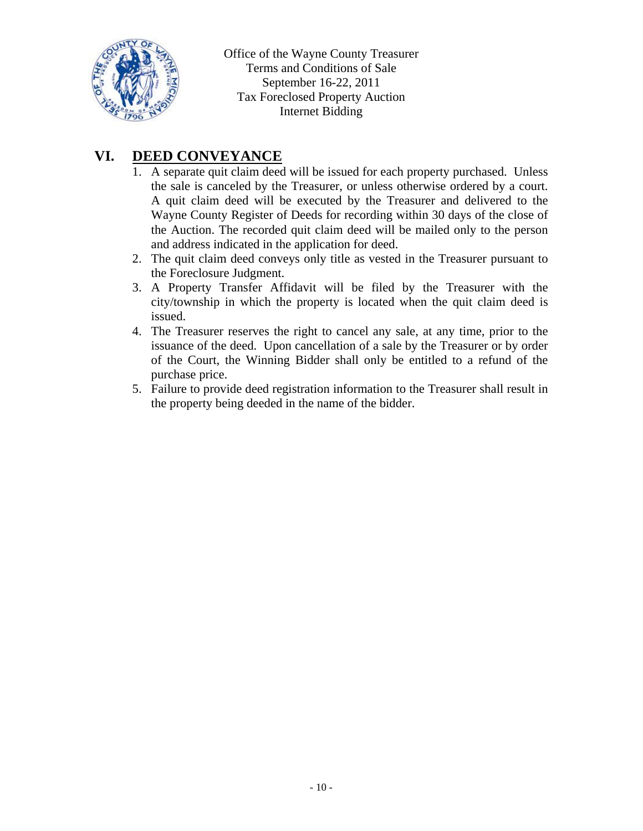

# **VI. DEED CONVEYANCE**

- 1. A separate quit claim deed will be issued for each property purchased. Unless the sale is canceled by the Treasurer, or unless otherwise ordered by a court. A quit claim deed will be executed by the Treasurer and delivered to the Wayne County Register of Deeds for recording within 30 days of the close of the Auction. The recorded quit claim deed will be mailed only to the person and address indicated in the application for deed.
- 2. The quit claim deed conveys only title as vested in the Treasurer pursuant to the Foreclosure Judgment.
- 3. A Property Transfer Affidavit will be filed by the Treasurer with the city/township in which the property is located when the quit claim deed is issued.
- 4. The Treasurer reserves the right to cancel any sale, at any time, prior to the issuance of the deed. Upon cancellation of a sale by the Treasurer or by order of the Court, the Winning Bidder shall only be entitled to a refund of the purchase price.
- 5. Failure to provide deed registration information to the Treasurer shall result in the property being deeded in the name of the bidder.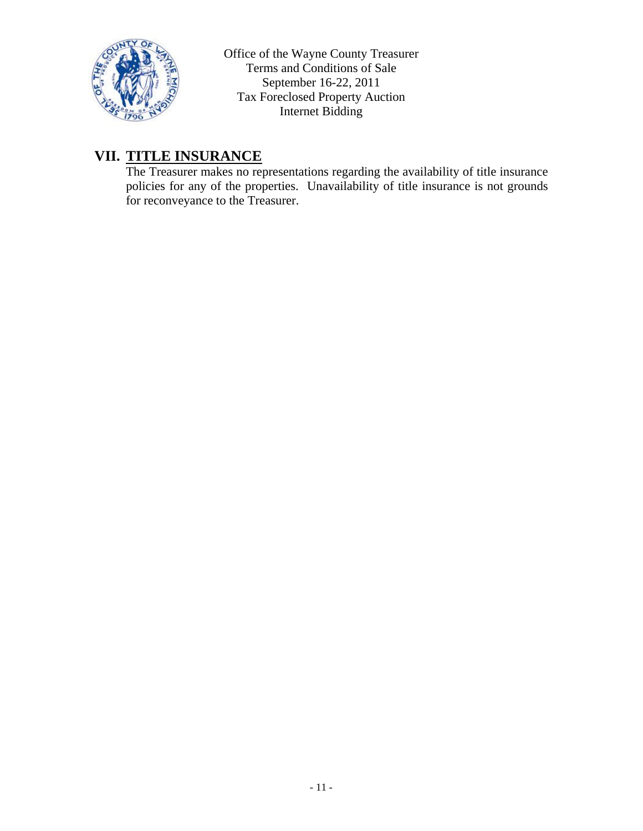

# **VII. TITLE INSURANCE**

The Treasurer makes no representations regarding the availability of title insurance policies for any of the properties. Unavailability of title insurance is not grounds for reconveyance to the Treasurer.